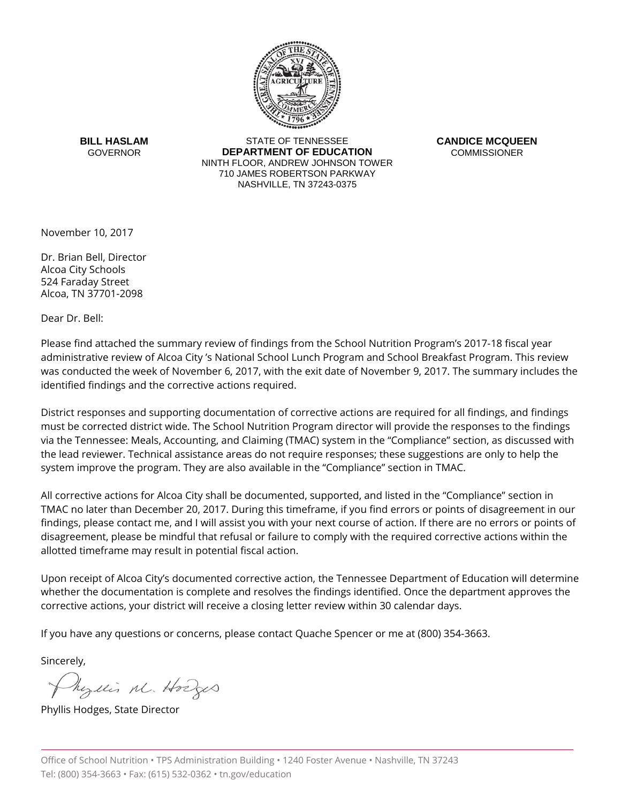

**BILL HASLAM GOVERNOR** 

STATE OF TENNESSEE **DEPARTMENT OF EDUCATION** NINTH FLOOR, ANDREW JOHNSON TOWER 710 JAMES ROBERTSON PARKWAY NASHVILLE, TN 37243-0375

**CANDICE MCQUEEN COMMISSIONER** 

November 10, 2017

Dr. Brian Bell, Director Alcoa City Schools 524 Faraday Street Alcoa, TN 37701-2098

Dear Dr. Bell:

Please find attached the summary review of findings from the School Nutrition Program's 2017-18 fiscal year administrative review of Alcoa City 's National School Lunch Program and School Breakfast Program. This review was conducted the week of November 6, 2017, with the exit date of November 9, 2017. The summary includes the identified findings and the corrective actions required.

District responses and supporting documentation of corrective actions are required for all findings, and findings must be corrected district wide. The School Nutrition Program director will provide the responses to the findings via the Tennessee: Meals, Accounting, and Claiming (TMAC) system in the "Compliance" section, as discussed with the lead reviewer. Technical assistance areas do not require responses; these suggestions are only to help the system improve the program. They are also available in the "Compliance" section in TMAC.

All corrective actions for Alcoa City shall be documented, supported, and listed in the "Compliance" section in TMAC no later than December 20, 2017. During this timeframe, if you find errors or points of disagreement in our findings, please contact me, and I will assist you with your next course of action. If there are no errors or points of disagreement, please be mindful that refusal or failure to comply with the required corrective actions within the allotted timeframe may result in potential fiscal action.

Upon receipt of Alcoa City's documented corrective action, the Tennessee Department of Education will determine whether the documentation is complete and resolves the findings identified. Once the department approves the corrective actions, your district will receive a closing letter review within 30 calendar days.

If you have any questions or concerns, please contact Quache Spencer or me at (800) 354-3663.

Sincerely,

Myllis M. Hodges

Phyllis Hodges, State Director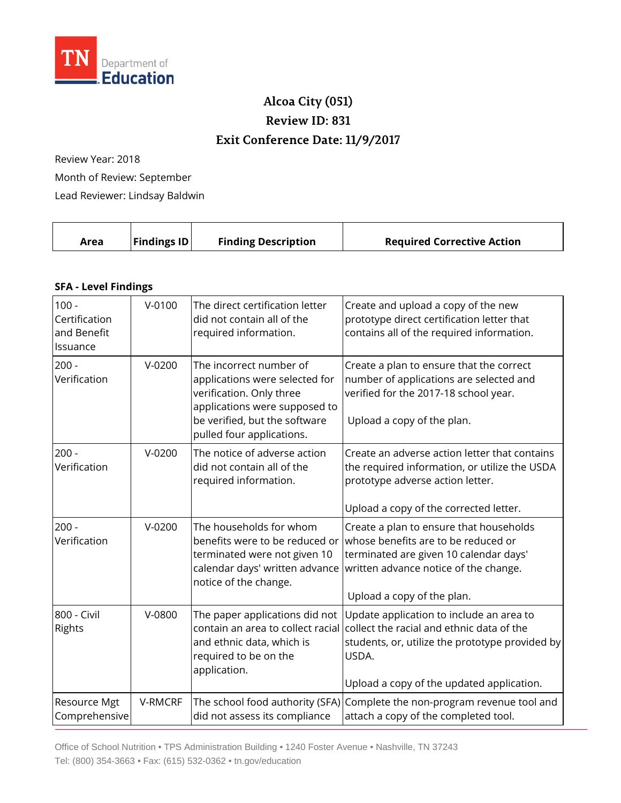

## **Alcoa City (051) Review ID: 831 Exit Conference Date: 11/9/2017**

Review Year: 2018

Month of Review: September Lead Reviewer: Lindsay Baldwin

| <b>Findings ID</b><br><b>Finding Description</b><br><b>Required Corrective Action</b><br>Area |  |
|-----------------------------------------------------------------------------------------------|--|
|-----------------------------------------------------------------------------------------------|--|

## **SFA - Level Findings**

| $100 -$<br>Certification<br>and Benefit<br>Issuance | $V - 0100$ | The direct certification letter<br>did not contain all of the<br>required information.                                                                                               | Create and upload a copy of the new<br>prototype direct certification letter that<br>contains all of the required information.                                                                                                                                |
|-----------------------------------------------------|------------|--------------------------------------------------------------------------------------------------------------------------------------------------------------------------------------|---------------------------------------------------------------------------------------------------------------------------------------------------------------------------------------------------------------------------------------------------------------|
| $200 -$<br>Verification                             | $V-0200$   | The incorrect number of<br>applications were selected for<br>verification. Only three<br>applications were supposed to<br>be verified, but the software<br>pulled four applications. | Create a plan to ensure that the correct<br>number of applications are selected and<br>verified for the 2017-18 school year.<br>Upload a copy of the plan.                                                                                                    |
| $200 -$<br>Verification                             | $V-0200$   | The notice of adverse action<br>did not contain all of the<br>required information.                                                                                                  | Create an adverse action letter that contains<br>the required information, or utilize the USDA<br>prototype adverse action letter.<br>Upload a copy of the corrected letter.                                                                                  |
| $200 -$<br>Verification                             | $V-0200$   | The households for whom<br>terminated were not given 10<br>notice of the change.                                                                                                     | Create a plan to ensure that households<br>benefits were to be reduced or whose benefits are to be reduced or<br>terminated are given 10 calendar days'<br>calendar days' written advance written advance notice of the change.<br>Upload a copy of the plan. |
| 800 - Civil<br>Rights                               | V-0800     | The paper applications did not<br>contain an area to collect racial<br>and ethnic data, which is<br>required to be on the<br>application.                                            | Update application to include an area to<br>collect the racial and ethnic data of the<br>students, or, utilize the prototype provided by<br>USDA.<br>Upload a copy of the updated application.                                                                |
| Resource Mgt<br>Comprehensive                       | V-RMCRF    | did not assess its compliance                                                                                                                                                        | The school food authority (SFA) Complete the non-program revenue tool and<br>attach a copy of the completed tool.                                                                                                                                             |